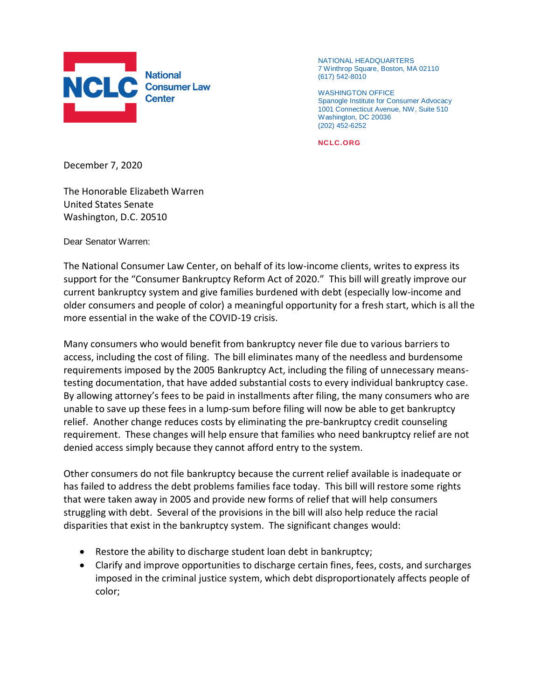

NATIONAL HEADQUARTERS 7 Winthrop Square, Boston, MA 02110 (617) 542-8010

WASHINGTON OFFICE Spanogle Institute for Consumer Advocacy 1001 Connecticut Avenue, NW, Suite 510 Washington, DC 20036 (202) 452-6252

**NCLC.ORG**

December 7, 2020

The Honorable Elizabeth Warren United States Senate Washington, D.C. 20510

Dear Senator Warren:

The National Consumer Law Center, on behalf of its low-income clients, writes to express its support for the "Consumer Bankruptcy Reform Act of 2020." This bill will greatly improve our current bankruptcy system and give families burdened with debt (especially low-income and older consumers and people of color) a meaningful opportunity for a fresh start, which is all the more essential in the wake of the COVID-19 crisis.

Many consumers who would benefit from bankruptcy never file due to various barriers to access, including the cost of filing. The bill eliminates many of the needless and burdensome requirements imposed by the 2005 Bankruptcy Act, including the filing of unnecessary meanstesting documentation, that have added substantial costs to every individual bankruptcy case. By allowing attorney's fees to be paid in installments after filing, the many consumers who are unable to save up these fees in a lump-sum before filing will now be able to get bankruptcy relief. Another change reduces costs by eliminating the pre-bankruptcy credit counseling requirement. These changes will help ensure that families who need bankruptcy relief are not denied access simply because they cannot afford entry to the system.

Other consumers do not file bankruptcy because the current relief available is inadequate or has failed to address the debt problems families face today. This bill will restore some rights that were taken away in 2005 and provide new forms of relief that will help consumers struggling with debt. Several of the provisions in the bill will also help reduce the racial disparities that exist in the bankruptcy system. The significant changes would:

- Restore the ability to discharge student loan debt in bankruptcy;
- Clarify and improve opportunities to discharge certain fines, fees, costs, and surcharges imposed in the criminal justice system, which debt disproportionately affects people of color;